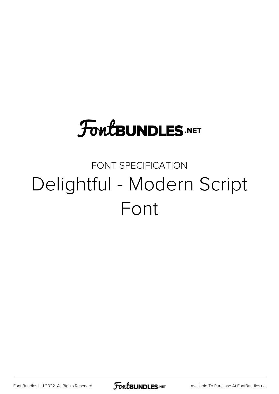# **FoutBUNDLES.NET**

## FONT SPECIFICATION Delightful - Modern Script Font

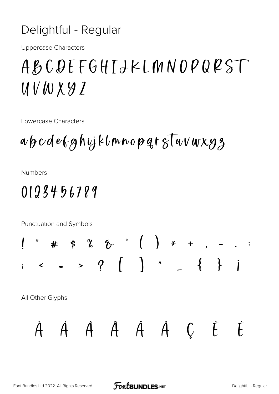#### Delightful - Regular

**Uppercase Characters** 

## ABCDEFGHIJKLMNOPQRST UVWXYZ

Lowercase Characters

## abcdefghijklmnopgrsTuvwxy3

**Numbers** 

### 0123456789

Punctuation and Symbols  $\begin{array}{ccccccccccccccccc} \text{\#} & \text{\#} & \text{\#} & \text{\#} & \text{\#} & \text{\#} & \text{\#} & \text{\#} & \text{\#} & \text{\#} & \text{\#} & \text{\#} & \text{\#} & \text{\#} & \text{\#} & \text{\#} & \text{\#} & \text{\#} & \text{\#} & \text{\#} & \text{\#} & \text{\#} & \text{\#} & \text{\#} & \text{\#} & \text{\#} & \text{\#} & \text{\#} & \text{\#} & \text{\#} & \text{\#} & \text{\#} & \text{\#} & \text{\#} & \text{\#}$  $\overline{\mathcal{L}}$  $\leftarrow$  = > ?  $\left(\begin{array}{ccc} 1 & 1 & 1 \\ 1 & 1 & 1 \\ 1 & 1 & 1 \end{array}\right)$ All Other Glyphs À Á Â Ã A Á Ć È É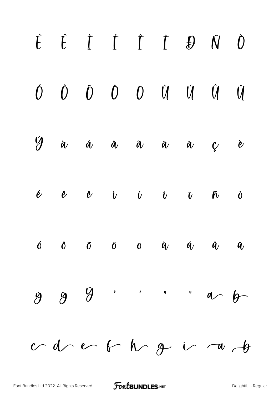|           | $\hat{E} \quad \  \  \, \dot{E} \quad \  \  \, \dot{I} \quad \  \  \, \dot{I} \quad \  \  \, \dot{E} \quad \  \  \, \dot{B} \quad \  \, \dot{N} \quad \  \, \dot{0}$ |  |                                                                                                 |  |           |
|-----------|----------------------------------------------------------------------------------------------------------------------------------------------------------------------|--|-------------------------------------------------------------------------------------------------|--|-----------|
| $\hat{U}$ |                                                                                                                                                                      |  | $\begin{matrix} \hat{O} & \tilde{O} & \tilde{O} & O & \hat{U} & \hat{U} & \hat{U} \end{matrix}$ |  | $\dot{U}$ |
|           | $\dot{y}$ à á à $\ddot{a}$ à $\ddot{a}$ à                                                                                                                            |  |                                                                                                 |  | $\dot{e}$ |
|           | é $\dot{e}$ $\ddot{e}$ $\ddot{v}$ $\ddot{v}$ $\ddot{v}$ $\ddot{w}$ $\ddot{v}$ $\ddot{w}$ $\ddot{v}$                                                                  |  |                                                                                                 |  |           |
|           | $\hat{0}$ $\hat{0}$ $\hat{0}$ $\hat{0}$ $\hat{0}$ $\hat{u}$ $\hat{u}$ $\hat{u}$ $\hat{u}$                                                                            |  |                                                                                                 |  |           |
|           | 999                                                                                                                                                                  |  |                                                                                                 |  |           |
|           | $od \text{cm}$ of $1 \text{cm}$ $1 \text{cm}$ $1 \text{cm}$                                                                                                          |  |                                                                                                 |  |           |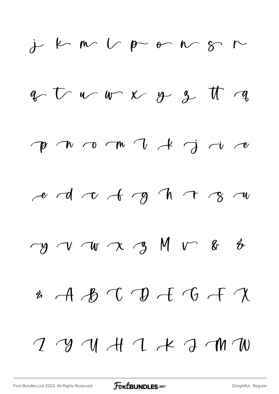